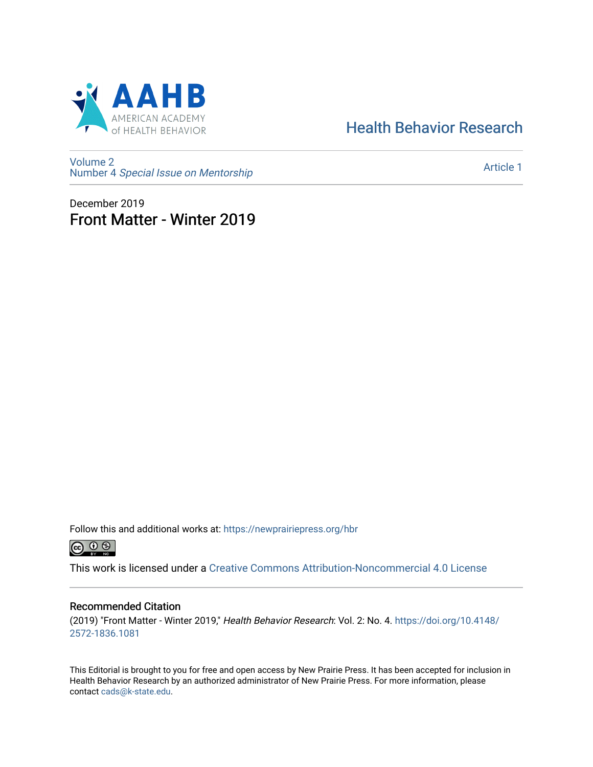

# [Health Behavior Research](https://newprairiepress.org/hbr)

[Volume 2](https://newprairiepress.org/hbr/vol2) Number 4 [Special Issue on Mentorship](https://newprairiepress.org/hbr/vol2/iss4) 

[Article 1](https://newprairiepress.org/hbr/vol2/iss4/1) 

December 2019 Front Matter - Winter 2019

Follow this and additional works at: [https://newprairiepress.org/hbr](https://newprairiepress.org/hbr?utm_source=newprairiepress.org%2Fhbr%2Fvol2%2Fiss4%2F1&utm_medium=PDF&utm_campaign=PDFCoverPages) 



This work is licensed under a [Creative Commons Attribution-Noncommercial 4.0 License](https://creativecommons.org/licenses/by-nc/4.0/)

## Recommended Citation

(2019) "Front Matter - Winter 2019," Health Behavior Research: Vol. 2: No. 4. [https://doi.org/10.4148/](https://doi.org/10.4148/2572-1836.1081) [2572-1836.1081](https://doi.org/10.4148/2572-1836.1081) 

This Editorial is brought to you for free and open access by New Prairie Press. It has been accepted for inclusion in Health Behavior Research by an authorized administrator of New Prairie Press. For more information, please contact [cads@k-state.edu](mailto:cads@k-state.edu).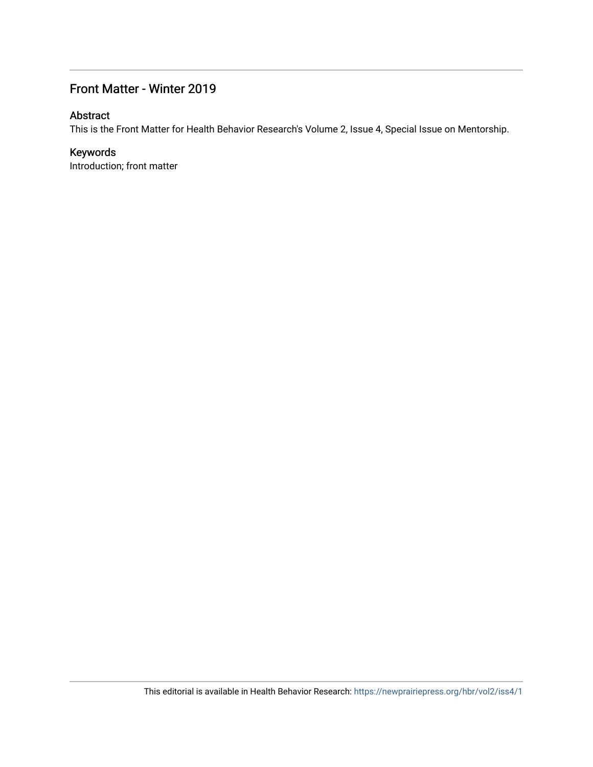# Front Matter - Winter 2019

# Abstract

This is the Front Matter for Health Behavior Research's Volume 2, Issue 4, Special Issue on Mentorship.

# Keywords

Introduction; front matter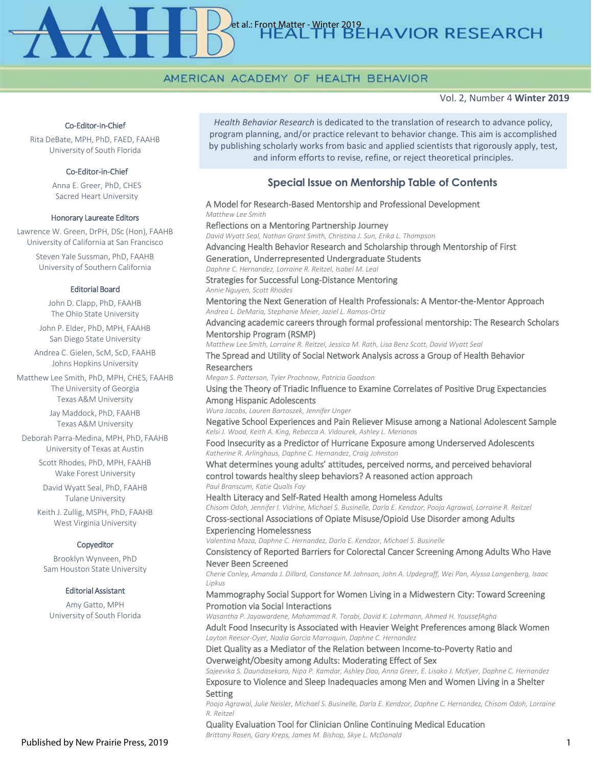# et al.: Front Matter - Winter 2019<br>
HEAT TH BEHAVIOR RESEARCH

# AMERICAN ACADEMY OF HEALTH BEHAVIOR

#### Vol. 2, Number 4 **Winter 2019**

#### Co-Editor-in-Chief

Rita DeBate, MPH, PhD, FAED, FAAHB University of South Florida

#### Co-Editor-in-Chief

Anna E. Greer, PhD, CHES Sacred Heart University

#### Honorary Laureate Editors

Lawrence W. Green, DrPH, DSc (Hon), FAAHB University of California at San Francisco Steven Yale Sussman, PhD, FAAHB University of Southern California

#### Editorial Board

John D. Clapp, PhD, FAAHB The Ohio State University

John P. Elder, PhD, MPH, FAAHB San Diego State University

Andrea C. Gielen, ScM, ScD, FAAHB Johns Hopkins University

Matthew Lee Smith, PhD, MPH, CHES, FAAHB The University of Georgia Texas A&M University

> Jay Maddock, PhD, FAAHB Texas A&M University

Deborah Parra-Medina, MPH, PhD, FAAHB University of Texas at Austin

> Scott Rhodes, PhD, MPH, FAAHB Wake Forest University

David Wyatt Seal, PhD, FAAHB Tulane University

Keith J. Zullig, MSPH, PhD, FAAHB West Virginia University

#### Copyeditor

Brooklyn Wynveen, PhD Sam Houston State University

#### Editorial Assistant

Amy Gatto, MPH University of South Florida

*Health Behavior Research* is dedicated to the translation of research to advance policy, program planning, and/or practice relevant to behavior change. This aim is accomplished by publishing scholarly works from basic and applied scientists that rigorously apply, test, and inform efforts to revise, refine, or reject theoretical principles.

## **Special Issue on Mentorship Table of Contents**

A Model for Research-Based Mentorship and Professional Development *Matthew Lee Smith* Reflections on a Mentoring Partnership Journey *David Wyatt Seal, Nathan Grant Smith, Christina J. Sun, Erika L. Thompson*  Advancing Health Behavior Research and Scholarship through Mentorship of First Generation, Underrepresented Undergraduate Students *Daphne C. Hernandez, Lorraine R. Reitzel, Isabel M. Leal* Strategies for Successful Long-Distance Mentoring *Annie Nguyen, Scott Rhodes* Mentoring the Next Generation of Health Professionals: A Mentor-the-Mentor Approach *Andrea L. DeMaria, Stephanie Meier, Jaziel L. Ramos-Ortiz* Advancing academic careers through formal professional mentorship: The Research Scholars Mentorship Program (RSMP) *Matthew Lee Smith, Lorraine R. Reitzel, Jessica M. Rath, Lisa Benz Scott, David Wyatt Seal* The Spread and Utility of Social Network Analysis across a Group of Health Behavior Researchers *Megan S. Patterson, Tyler Prochnow, Patricia Goodson* Using the Theory of Triadic Influence to Examine Correlates of Positive Drug Expectancies Among Hispanic Adolescents *Wura Jacobs, Lauren Bartoszek, Jennifer Unger* Negative School Experiences and Pain Reliever Misuse among a National Adolescent Sample *Kelsi J. Wood, Keith A. King, Rebecca A. Vidourek, Ashley L. Merianos* Food Insecurity as a Predictor of Hurricane Exposure among Underserved Adolescents *Katherine R. Arlinghaus, Daphne C. Hernandez, Craig Johnston* What determines young adults' attitudes, perceived norms, and perceived behavioral control towards healthy sleep behaviors? A reasoned action approach *Paul Branscum, Katie Qualls Fay* Health Literacy and Self-Rated Health among Homeless Adults *Chisom Odoh, Jennifer I. Vidrine, Michael S. Businelle, Darla E. Kendzor, Pooja Agrawal, Lorraine R. Reitzel* Cross-sectional Associations of Opiate Misuse/Opioid Use Disorder among Adults Experiencing Homelessness *Valentina Maza, Daphne C. Hernandez, Darla E. Kendzor, Michael S. Businelle* Consistency of Reported Barriers for Colorectal Cancer Screening Among Adults Who Have Never Been Screened *Cherie Conley, Amanda J. Dillard, Constance M. Johnson, John A. Updegraff, Wei Pan, Alyssa Langenberg, Isaac Lipkus* Mammography Social Support for Women Living in a Midwestern City: Toward Screening Promotion via Social Interactions *Wasantha P. Jayawardene, Mohammad R. Torabi, David K. Lohrmann, Ahmed H. YoussefAgha* Adult Food Insecurity is Associated with Heavier Weight Preferences among Black Women *Layton Reesor-Oyer, Nadia Garcia Marroquin, Daphne C. Hernandez* Diet Quality as a Mediator of the Relation between Income-to-Poverty Ratio and Overweight/Obesity among Adults: Moderating Effect of Sex *Sajeevika S. Daundasekara, Nipa P. Kamdar, Ashley Dao, Anna Greer, E. Lisako J. McKyer, Daphne C. Hernandez* Exposure to Violence and Sleep Inadequacies among Men and Women Living in a Shelter **Setting** *Pooja Agrawal, Julie Neisler, Michael S. Businelle, Darla E. Kendzor, Daphne C. Hernandez, Chisom Odoh, Lorraine R. Reitzel*

Quality Evaluation Tool for Clinician Online Continuing Medical Education

*Brittany Rosen, Gary Kreps, James M. Bishop, Skye L. McDonald*